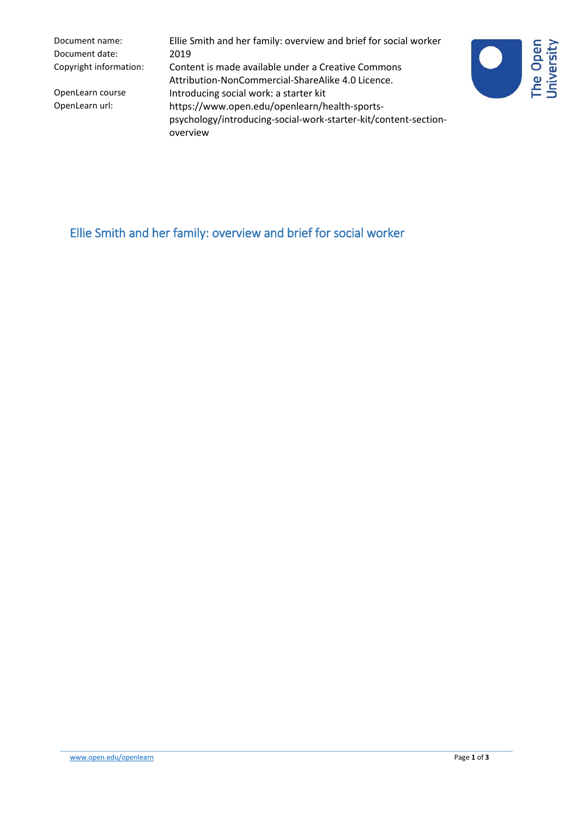| Document name:         | Ellie Smith and her family: overview and brief for social worker |  |
|------------------------|------------------------------------------------------------------|--|
| Document date:         | 2019                                                             |  |
| Copyright information: | Content is made available under a Creative Commons               |  |
|                        | Attribution-NonCommercial-ShareAlike 4.0 Licence.                |  |
| OpenLearn course       | Introducing social work: a starter kit                           |  |
| OpenLearn url:         | https://www.open.edu/openlearn/health-sports-                    |  |
|                        | psychology/introducing-social-work-starter-kit/content-section-  |  |
|                        | overview                                                         |  |



Ellie Smith and her family: overview and brief for social worker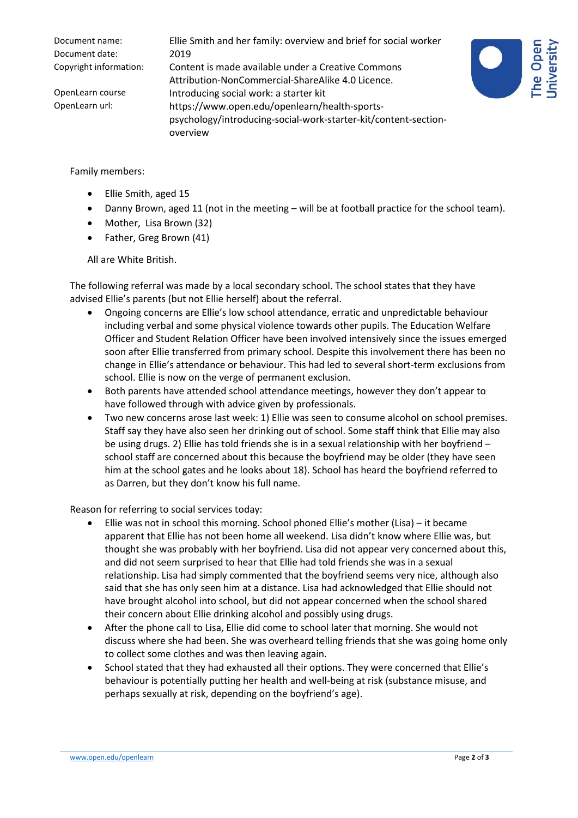Document name: Ellie Smith and her family: overview and brief for social worker Document date: 2019 Copyright information: Content is made available under a Creative Commons Attribution-NonCommercial-ShareAlike 4.0 Licence. OpenLearn course Introducing social work: a starter kit OpenLearn url: https://www.open.edu/openlearn/health-sportspsychology/introducing-social-work-starter-kit/content-sectionoverview



Family members:

- Ellie Smith, aged 15
- Danny Brown, aged 11 (not in the meeting will be at football practice for the school team).
- Mother, Lisa Brown (32)
- Father, Greg Brown (41)

All are White British.

The following referral was made by a local secondary school. The school states that they have advised Ellie's parents (but not Ellie herself) about the referral.

- Ongoing concerns are Ellie's low school attendance, erratic and unpredictable behaviour including verbal and some physical violence towards other pupils. The Education Welfare Officer and Student Relation Officer have been involved intensively since the issues emerged soon after Ellie transferred from primary school. Despite this involvement there has been no change in Ellie's attendance or behaviour. This had led to several short-term exclusions from school. Ellie is now on the verge of permanent exclusion.
- Both parents have attended school attendance meetings, however they don't appear to have followed through with advice given by professionals.
- Two new concerns arose last week: 1) Ellie was seen to consume alcohol on school premises. Staff say they have also seen her drinking out of school. Some staff think that Ellie may also be using drugs. 2) Ellie has told friends she is in a sexual relationship with her boyfriend – school staff are concerned about this because the boyfriend may be older (they have seen him at the school gates and he looks about 18). School has heard the boyfriend referred to as Darren, but they don't know his full name.

Reason for referring to social services today:

- Ellie was not in school this morning. School phoned Ellie's mother (Lisa) it became apparent that Ellie has not been home all weekend. Lisa didn't know where Ellie was, but thought she was probably with her boyfriend. Lisa did not appear very concerned about this, and did not seem surprised to hear that Ellie had told friends she was in a sexual relationship. Lisa had simply commented that the boyfriend seems very nice, although also said that she has only seen him at a distance. Lisa had acknowledged that Ellie should not have brought alcohol into school, but did not appear concerned when the school shared their concern about Ellie drinking alcohol and possibly using drugs.
- After the phone call to Lisa, Ellie did come to school later that morning. She would not discuss where she had been. She was overheard telling friends that she was going home only to collect some clothes and was then leaving again.
- School stated that they had exhausted all their options. They were concerned that Ellie's behaviour is potentially putting her health and well-being at risk (substance misuse, and perhaps sexually at risk, depending on the boyfriend's age).